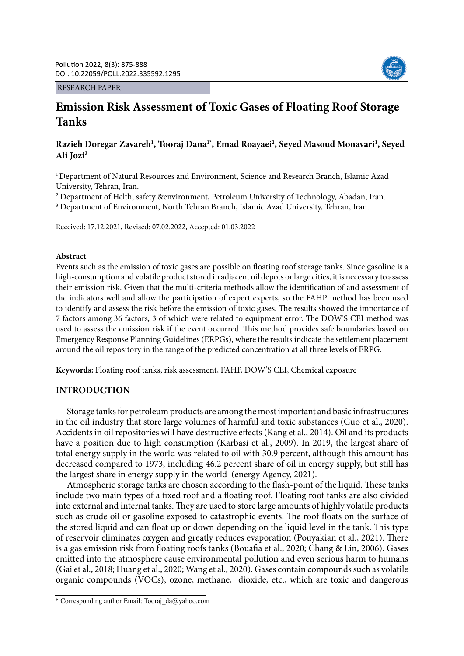#### RESEARCH PAPER



# **Emission Risk Assessment of Toxic Gases of Floating Roof Storage Tanks**

## **Razieh Doregar Zavareh1 , Tooraj Dana1\*, Emad Roayaei2 , Seyed Masoud Monavari1 , Seyed Ali Jozi3**

<sup>1</sup> Department of Natural Resources and Environment, Science and Research Branch, Islamic Azad University, Tehran, Iran.

2 Department of Helth, safety &environment, Petroleum University of Technology, Abadan, Iran.

3 Department of Environment, North Tehran Branch, Islamic Azad University, Tehran, Iran.

Received: 17.12.2021, Revised: 07.02.2022, Accepted: 01.03.2022

## **Abstract**

Events such as the emission of toxic gases are possible on floating roof storage tanks. Since gasoline is a high-consumption and volatile product stored in adjacent oil depots or large cities, it is necessary to assess their emission risk. Given that the multi-criteria methods allow the identification of and assessment of the indicators well and allow the participation of expert experts, so the FAHP method has been used to identify and assess the risk before the emission of toxic gases. The results showed the importance of 7 factors among 36 factors, 3 of which were related to equipment error. The DOW'S CEI method was used to assess the emission risk if the event occurred. This method provides safe boundaries based on Emergency Response Planning Guidelines (ERPGs), where the results indicate the settlement placement around the oil repository in the range of the predicted concentration at all three levels of ERPG.

**Keywords:** Floating roof tanks, risk assessment, FAHP, DOW'S CEI, Chemical exposure

## **INTRODUCTION**

Storage tanks for petroleum products are among the most important and basic infrastructures in the oil industry that store large volumes of harmful and toxic substances (Guo et al., 2020). Accidents in oil repositories will have destructive effects (Kang et al., 2014). Oil and its products have a position due to high consumption (Karbasi et al., 2009). In 2019, the largest share of total energy supply in the world was related to oil with 30.9 percent, although this amount has decreased compared to 1973, including 46.2 percent share of oil in energy supply, but still has the largest share in energy supply in the world (energy Agency, 2021).

Atmospheric storage tanks are chosen according to the flash-point of the liquid. These tanks include two main types of a fixed roof and a floating roof. Floating roof tanks are also divided into external and internal tanks. They are used to store large amounts of highly volatile products such as crude oil or gasoline exposed to catastrophic events. The roof floats on the surface of the stored liquid and can float up or down depending on the liquid level in the tank. This type of reservoir eliminates oxygen and greatly reduces evaporation (Pouyakian et al., 2021). There is a gas emission risk from floating roofs tanks (Bouafia et al., 2020; Chang & Lin, 2006). Gases emitted into the atmosphere cause environmental pollution and even serious harm to humans (Gai et al., 2018; Huang et al., 2020; Wang et al., 2020). Gases contain compounds such as volatile organic compounds (VOCs), ozone, methane, dioxide, etc., which are toxic and dangerous

<sup>\*</sup> Corresponding author Email: Tooraj\_da@yahoo.com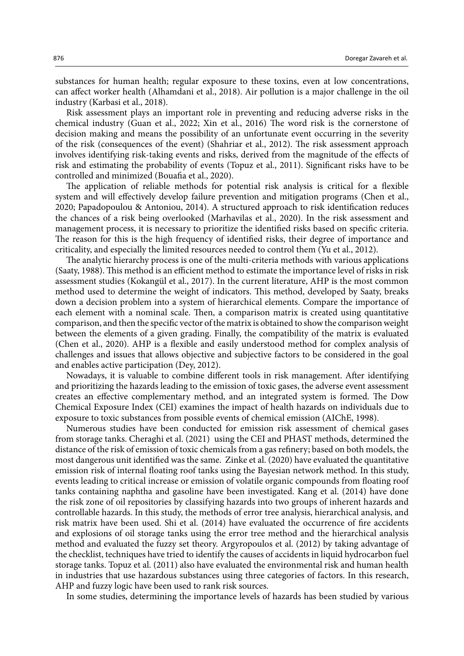substances for human health; regular exposure to these toxins, even at low concentrations, can affect worker health (Alhamdani et al., 2018). Air pollution is a major challenge in the oil industry (Karbasi et al., 2018).

Risk assessment plays an important role in preventing and reducing adverse risks in the chemical industry (Guan et al., 2022; Xin et al., 2016) The word risk is the cornerstone of decision making and means the possibility of an unfortunate event occurring in the severity of the risk (consequences of the event) (Shahriar et al., 2012). The risk assessment approach involves identifying risk-taking events and risks, derived from the magnitude of the effects of risk and estimating the probability of events (Topuz et al., 2011). Significant risks have to be controlled and minimized (Bouafia et al., 2020).

The application of reliable methods for potential risk analysis is critical for a flexible system and will effectively develop failure prevention and mitigation programs (Chen et al., 2020; Papadopoulou & Antoniou, 2014). A structured approach to risk identification reduces the chances of a risk being overlooked (Marhavilas et al., 2020). In the risk assessment and management process, it is necessary to prioritize the identified risks based on specific criteria. The reason for this is the high frequency of identified risks, their degree of importance and criticality, and especially the limited resources needed to control them (Yu et al., 2012).

The analytic hierarchy process is one of the multi-criteria methods with various applications (Saaty, 1988). This method is an efficient method to estimate the importance level of risks in risk assessment studies (Kokangül et al., 2017). In the current literature, AHP is the most common method used to determine the weight of indicators. This method, developed by Saaty, breaks down a decision problem into a system of hierarchical elements. Compare the importance of each element with a nominal scale. Then, a comparison matrix is created using quantitative comparison, and then the specific vector of the matrix is obtained to show the comparison weight between the elements of a given grading. Finally, the compatibility of the matrix is evaluated (Chen et al., 2020). AHP is a flexible and easily understood method for complex analysis of challenges and issues that allows objective and subjective factors to be considered in the goal and enables active participation (Dey, 2012).

Nowadays, it is valuable to combine different tools in risk management. After identifying and prioritizing the hazards leading to the emission of toxic gases, the adverse event assessment creates an effective complementary method, and an integrated system is formed. The Dow Chemical Exposure Index (CEI) examines the impact of health hazards on individuals due to exposure to toxic substances from possible events of chemical emission (AIChE, 1998).

Numerous studies have been conducted for emission risk assessment of chemical gases from storage tanks. Cheraghi et al. (2021) using the CEI and PHAST methods, determined the distance of the risk of emission of toxic chemicals from a gas refinery; based on both models, the most dangerous unit identified was the same. Zinke et al. (2020) have evaluated the quantitative emission risk of internal floating roof tanks using the Bayesian network method. In this study, events leading to critical increase or emission of volatile organic compounds from floating roof tanks containing naphtha and gasoline have been investigated. Kang et al. (2014) have done the risk zone of oil repositories by classifying hazards into two groups of inherent hazards and controllable hazards. In this study, the methods of error tree analysis, hierarchical analysis, and risk matrix have been used. Shi et al. (2014) have evaluated the occurrence of fire accidents and explosions of oil storage tanks using the error tree method and the hierarchical analysis method and evaluated the fuzzy set theory. Argyropoulos et al. (2012) by taking advantage of the checklist, techniques have tried to identify the causes of accidents in liquid hydrocarbon fuel storage tanks. Topuz et al. (2011) also have evaluated the environmental risk and human health in industries that use hazardous substances using three categories of factors. In this research, AHP and fuzzy logic have been used to rank risk sources.

In some studies, determining the importance levels of hazards has been studied by various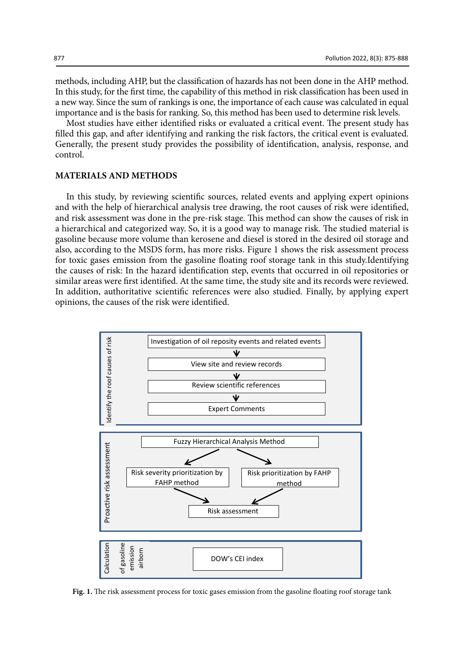methods, including AHP, but the classification of hazards has not been done in the AHP method. In this study, for the first time, the capability of this method in risk classification has been used in a new way. Since the sum of rankings is one, the importance of each cause was calculated in equal importance and is the basis for ranking. So, this method has been used to determine risk levels.

Most studies have either identified risks or evaluated a critical event. The present study has filled this gap, and after identifying and ranking the risk factors, the critical event is evaluated. Generally, the present study provides the possibility of identification, analysis, response, and control.

## **MATERIALS AND METHODS**

In this study, by reviewing scientific sources, related events and applying expert opinions and with the help of hierarchical analysis tree drawing, the root causes of risk were identified, and risk assessment was done in the pre-risk stage. This method can show the causes of risk in a hierarchical and categorized way. So, it is a good way to manage risk. The studied material is gasoline because more volume than kerosene and diesel is stored in the desired oil storage and also, according to the MSDS form, has more risks. Figure 1 shows the risk assessment process for toxic gases emission from the gasoline floating roof storage tank in this study.Identifying the causes of risk: In the hazard identification step, events that occurred in oil repositories or similar areas were first identified. At the same time, the study site and its records were reviewed. In addition, authoritative scientific references were also studied. Finally, by applying expert opinions, the causes of the risk were identified.



Fig. 1. The risk assessment process for toxic gases emission from the gasoline floating roof storage tank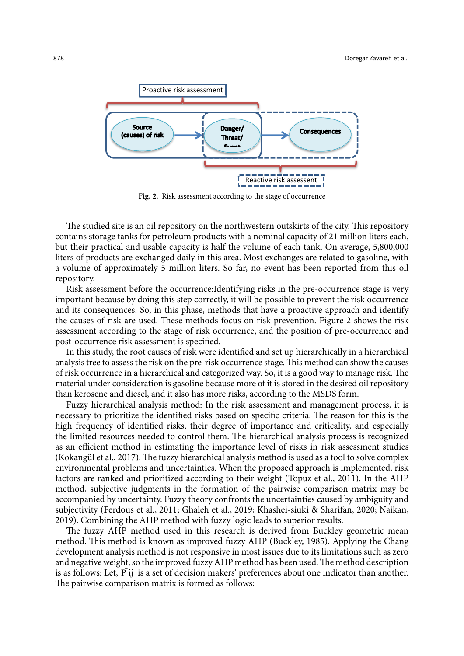

Fig. 2. Risk assessment according to the stage of occurrence

The studied site is an oil repository on the northwestern outskirts of the city. This repository contains storage tanks for petroleum products with a nominal capacity of 21 million liters each, but their practical and usable capacity is half the volume of each tank. On average, 5,800,000 liters of products are exchanged daily in this area. Most exchanges are related to gasoline, with a volume of approximately 5 million liters. So far, no event has been reported from this oil repository.

Risk assessment before the occurrence:Identifying risks in the pre-occurrence stage is very important because by doing this step correctly, it will be possible to prevent the risk occurrence and its consequences. So, in this phase, methods that have a proactive approach and identify the causes of risk are used. These methods focus on risk prevention. Figure 2 shows the risk assessment according to the stage of risk occurrence, and the position of pre-occurrence and post-occurrence risk assessment is specified.

In this study, the root causes of risk were identified and set up hierarchically in a hierarchical analysis tree to assess the risk on the pre-risk occurrence stage. This method can show the causes of risk occurrence in a hierarchical and categorized way. So, it is a good way to manage risk. The material under consideration is gasoline because more of it is stored in the desired oil repository than kerosene and diesel, and it also has more risks, according to the MSDS form.

Fuzzy hierarchical analysis method: In the risk assessment and management process, it is necessary to prioritize the identified risks based on specific criteria. The reason for this is the high frequency of identified risks, their degree of importance and criticality, and especially the limited resources needed to control them. The hierarchical analysis process is recognized as an efficient method in estimating the importance level of risks in risk assessment studies (Kokangül et al., 2017). The fuzzy hierarchical analysis method is used as a tool to solve complex environmental problems and uncertainties. When the proposed approach is implemented, risk factors are ranked and prioritized according to their weight (Topuz et al., 2011). In the AHP method, subjective judgments in the formation of the pairwise comparison matrix may be accompanied by uncertainty. Fuzzy theory confronts the uncertainties caused by ambiguity and subjectivity (Ferdous et al., 2011; Ghaleh et al., 2019; Khashei-siuki & Sharifan, 2020; Naikan, 2019). Combining the AHP method with fuzzy logic leads to superior results.

The fuzzy AHP method used in this research is derived from Buckley geometric mean method. This method is known as improved fuzzy AHP (Buckley, 1985). Applying the Chang development analysis method is not responsive in most issues due to its limitations such as zero and negative weight, so the improved fuzzy AHP method has been used. The method description is as follows: Let, P ij  $\,$  is a set of decision makers' preferences about one indicator than another. The pairwise comparison matrix is formed as follows: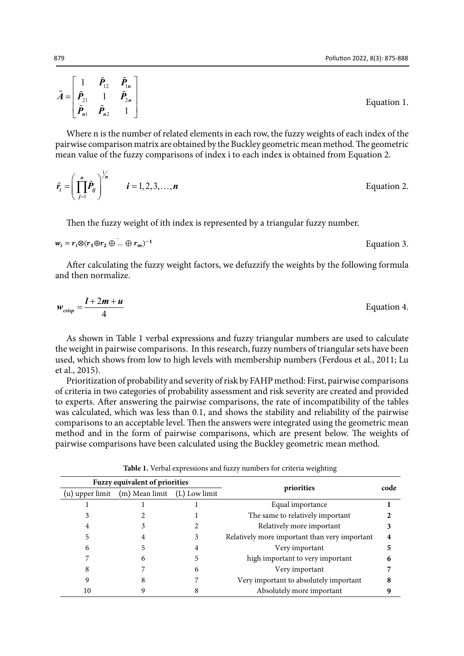$$
\tilde{A} = \begin{bmatrix} 1 & \tilde{P}_{12} & \tilde{P}_{1n} \\ \tilde{P}_{21} & 1 & \tilde{P}_{2n} \\ \tilde{P}_{n1} & \tilde{P}_{n2} & 1 \end{bmatrix}
$$
 Equation 1.

Where  $n$  is the number of related elements in each row, the fuzzy weights of each index of the  $n$ pairwise comparison matrix are obtained by the Buckley geometric mean method. The geometric pan wise comparison matrix are occurried by the Buckley geometric mean method. The geometric mean value of the fuzzy comparisons of index i to each index is obtained from Equation 2. Let,  $P$  is a set of decision makers about one indicator than another. The pairwise about one indicator than an Incan value of the fuzzy comparisons of mue<del>x</del> I to each in

$$
\tilde{r}_i = \left(\prod_{j=1}^n \tilde{P}_{ij}\right)^{1/n} \qquad i = 1, 2, 3, ..., n
$$
Equation 2.

Then the fuzzy weight of ith index is represented by a triangular fuzzy number.

$$
w_i = r_i \otimes (r_1 \oplus r_2 \oplus \dots \oplus r_m)^{-1}
$$
 Equation 3.

and then normalize. After calculating the fuzzy weight factors, we defuzzify the weights by the following formula

$$
w_{crisp} = \frac{l + 2m + u}{4}
$$
 Equation 4.

As shown in Table 1 verbal expressions and fuzzy triangular numbers are used to calculate the weight in pairwise comparisons. In this research, fuzzy numbers of triangular sets have been used, which shows from low to high levels with membership numbers (Ferdous et al., 2011; Lu et al., 2015). 3 2 1 The same to relatively important **2**

Prioritization of probability and severity of risk by FAHP method: First, pairwise comparisons of criteria in two categories of probability assessment and risk severity are created and provided to experts. After answering the pairwise comparisons, the rate of incompatibility of the tables was calculated, which was less than 0.1, and shows the stability and reliability of the pairwise comparisons to an acceptable level. Then the answers were integrated using the geometric mean method and in the form of pairwise comparisons, which are present below. The weights of 11 9 8 8 Absolute more in the Fermi of Pairwise comparisons, which are present extent the we<br>pairwise comparisons have been calculated using the Buckley geometric mean method.

Table 1. Verbal expressions and fuzzy numbers for criteria weighting

|                 | Fuzzy equivalent of priorities |   |                                               | code |
|-----------------|--------------------------------|---|-----------------------------------------------|------|
| (u) upper limit | (m) Mean limit (L) Low limit   |   | priorities                                    |      |
|                 |                                |   | Equal importance                              |      |
|                 |                                |   | The same to relatively important              |      |
|                 |                                |   | Relatively more important                     |      |
|                 |                                |   | Relatively more important than very important |      |
|                 |                                |   | Very important                                |      |
|                 |                                |   | high important to very important              |      |
|                 |                                | O | Very important                                |      |
|                 |                                |   | Very important to absolutely important        |      |
| 10              |                                |   | Absolutely more important                     |      |

Then the fuzzy weight of ith index is represented by a triangular fuzzy number.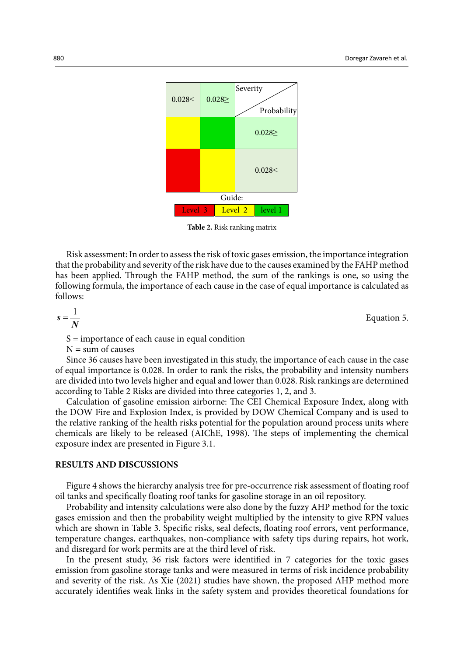

**Table2 . Risk ranking matrix** 

**Table 2.** Risk ranking matrix

Risk assessment: In order to assess the risk of toxic gases emission, the importance integration that the probability and severity of the risk have due to the causes examined by the FAHP method has been applied. Through the FAHP method, the sum of the rankings is one, so using the following formula, the importance of each cause in the case of equal importance is calculated as follows:

$$
s = \frac{1}{N}
$$
 Equation 5.

S = importance of each cause in equal condition

 $N = sum of causes$ 

Since 36 causes have been investigated in this study, the importance of each cause in the case of equal importance is 0.028. In order to rank the risks, the probability and intensity numbers are divided into two levels higher and equal and lower than 0.028. Risk rankings are determined according to Table 2 Risks are divided into three categories 1, 2, and 3.

Calculation of gasoline emission airborne: The CEI Chemical Exposure Index, along with the DOW Fire and Explosion Index, is provided by DOW Chemical Company and is used to the relative ranking of the health risks potential for the population around process units where chemicals are likely to be released (AIChE, 1998). The steps of implementing the chemical exposure index are presented in Figure 3.1.

#### **RESULTS AND DISCUSSIONS**

Figure 4 shows the hierarchy analysis tree for pre-occurrence risk assessment of floating roof oil tanks and specifically floating roof tanks for gasoline storage in an oil repository.

Probability and intensity calculations were also done by the fuzzy AHP method for the toxic gases emission and then the probability weight multiplied by the intensity to give RPN values which are shown in Table 3. Specific risks, seal defects, floating roof errors, vent performance, temperature changes, earthquakes, non-compliance with safety tips during repairs, hot work, and disregard for work permits are at the third level of risk.

In the present study, 36 risk factors were identified in 7 categories for the toxic gases emission from gasoline storage tanks and were measured in terms of risk incidence probability and severity of the risk. As Xie (2021) studies have shown, the proposed AHP method more accurately identifies weak links in the safety system and provides theoretical foundations for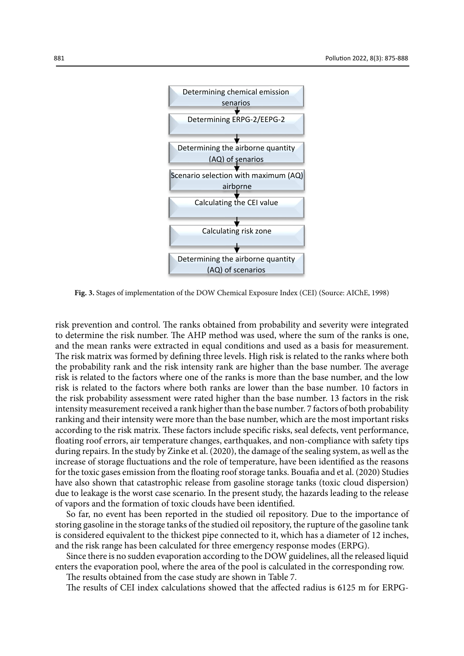

Fig. 3. Stages of implementation of the DOW Chemical Exposure Index (CEI) (Source: AIChE, 1998)

risk prevention and control. The ranks obtained from probability and severity were integrated to determine the risk number. The AHP method was used, where the sum of the ranks is one, and the mean ranks were extracted in equal conditions and used as a basis for measurement. The risk matrix was formed by defining three levels. High risk is related to the ranks where both the probability rank and the risk intensity rank are higher than the base number. The average risk is related to the factors where one of the ranks is more than the base number, and the low risk is related to the factors where both ranks are lower than the base number. 10 factors in the risk probability assessment were rated higher than the base number. 13 factors in the risk intensity measurement received a rank higher than the base number. 7 factors of both probability ranking and their intensity were more than the base number, which are the most important risks according to the risk matrix. These factors include specific risks, seal defects, vent performance, floating roof errors, air temperature changes, earthquakes, and non-compliance with safety tips during repairs. In the study by Zinke et al. (2020), the damage of the sealing system, as well as the increase of storage fluctuations and the role of temperature, have been identified as the reasons for the toxic gases emission from the floating roof storage tanks. Bouafia and et al. (2020) Studies have also shown that catastrophic release from gasoline storage tanks (toxic cloud dispersion) due to leakage is the worst case scenario. In the present study, the hazards leading to the release of vapors and the formation of toxic clouds have been identified.

So far, no event has been reported in the studied oil repository. Due to the importance of storing gasoline in the storage tanks of the studied oil repository, the rupture of the gasoline tank is considered equivalent to the thickest pipe connected to it, which has a diameter of 12 inches, and the risk range has been calculated for three emergency response modes (ERPG).

Since there is no sudden evaporation according to the DOW guidelines, all the released liquid enters the evaporation pool, where the area of the pool is calculated in the corresponding row.

The results obtained from the case study are shown in Table 7.

The results of CEI index calculations showed that the affected radius is 6125 m for ERPG-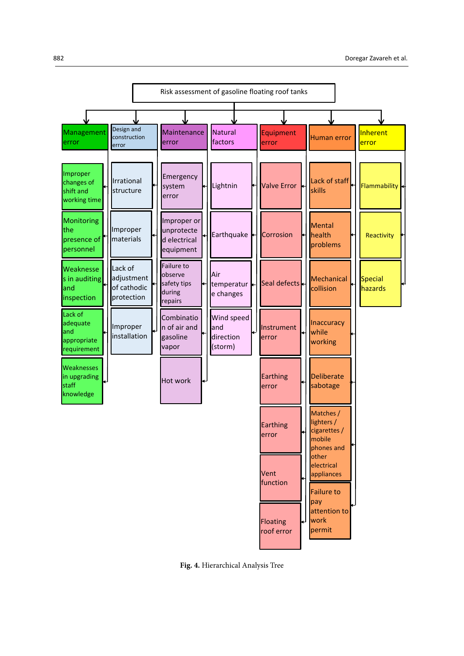

Fig. 4. Hierarchical Analysis Tree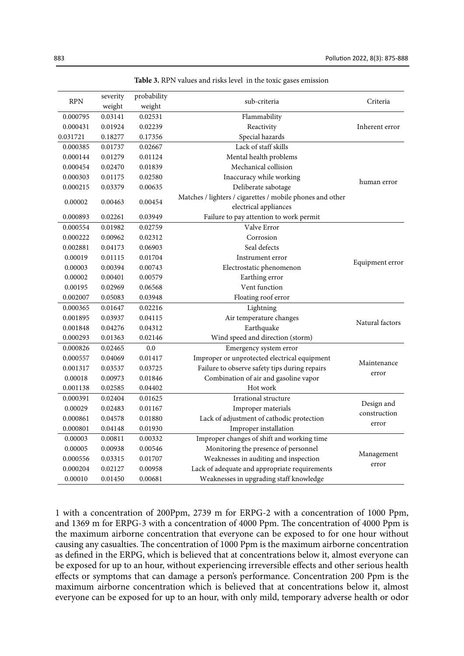| severity<br><b>RPN</b> |         | probability | sub-criteria                                                                       | Criteria        |
|------------------------|---------|-------------|------------------------------------------------------------------------------------|-----------------|
|                        | weight  | weight      |                                                                                    |                 |
| 0.000795               | 0.03141 | 0.02531     | Flammability                                                                       |                 |
| 0.000431               | 0.01924 | 0.02239     | Reactivity                                                                         | Inherent error  |
| 0.031721               | 0.18277 | 0.17356     | Special hazards                                                                    |                 |
| 0.000385               | 0.01737 | 0.02667     | Lack of staff skills                                                               |                 |
| 0.000144               | 0.01279 | 0.01124     | Mental health problems                                                             |                 |
| 0.000454               | 0.02470 | 0.01839     | Mechanical collision                                                               |                 |
| 0.000303               | 0.01175 | 0.02580     | Inaccuracy while working                                                           | human error     |
| 0.000215               | 0.03379 | 0.00635     | Deliberate sabotage                                                                |                 |
| 0.00002                | 0.00463 | 0.00454     | Matches / lighters / cigarettes / mobile phones and other<br>electrical appliances |                 |
| 0.000893               | 0.02261 | 0.03949     | Failure to pay attention to work permit                                            |                 |
| 0.000554               | 0.01982 | 0.02759     | Valve Error                                                                        |                 |
| 0.000222               | 0.00962 | 0.02312     | Corrosion                                                                          |                 |
| 0.002881               | 0.04173 | 0.06903     | Seal defects                                                                       |                 |
| 0.00019                | 0.01115 | 0.01704     | Instrument error                                                                   |                 |
| 0.00003                | 0.00394 | 0.00743     | Electrostatic phenomenon                                                           | Equipment error |
| 0.00002                | 0.00401 | 0.00579     | Earthing error                                                                     |                 |
| 0.00195                | 0.02969 | 0.06568     | Vent function                                                                      |                 |
| 0.002007               | 0.05083 | 0.03948     | Floating roof error                                                                |                 |
| 0.000365               | 0.01647 | 0.02216     | Lightning                                                                          |                 |
| 0.001895               | 0.03937 | 0.04115     | Air temperature changes                                                            |                 |
| 0.001848               | 0.04276 | 0.04312     | Earthquake                                                                         | Natural factors |
| 0.000293               | 0.01363 | 0.02146     | Wind speed and direction (storm)                                                   |                 |
| 0.000826               | 0.02465 | 0.0         | Emergency system error                                                             |                 |
| 0.000557               | 0.04069 | 0.01417     | Improper or unprotected electrical equipment                                       |                 |
| 0.001317               | 0.03537 | 0.03725     | Failure to observe safety tips during repairs                                      | Maintenance     |
| 0.00018                | 0.00973 | 0.01846     | Combination of air and gasoline vapor                                              | error           |
| 0.001138               | 0.02585 | 0.04402     | Hot work                                                                           |                 |
| 0.000391               | 0.02404 | 0.01625     | Irrational structure                                                               |                 |
| 0.00029                | 0.02483 | 0.01167     | Improper materials                                                                 | Design and      |
| 0.000861               | 0.04578 | 0.01880     | Lack of adjustment of cathodic protection                                          | construction    |
| 0.000801               | 0.04148 | 0.01930     | Improper installation                                                              | error           |
| 0.00003                | 0.00811 | 0.00332     | Improper changes of shift and working time                                         |                 |
| 0.00005                | 0.00938 | 0.00546     | Monitoring the presence of personnel                                               |                 |
| 0.000556               | 0.03315 | 0.01707     | Weaknesses in auditing and inspection                                              | Management      |
| 0.000204               | 0.02127 | 0.00958     | Lack of adequate and appropriate requirements                                      | error           |
| 0.00010                | 0.01450 | 0.00681     | Weaknesses in upgrading staff knowledge                                            |                 |

**Table3 . RPN values and risks level in the toxic gases emission Table 3.** RPN values and risks level in the toxic gases emission

1 with a concentration of 200Ppm, 2739 m for ERPG-2 with a concentration of 1000 Ppm, and 1369 m for ERPG-3 with a concentration of 4000 Ppm. The concentration of 4000 Ppm is the maximum airborne concentration that everyone can be exposed to for one hour without causing any casualties. The concentration of 1000 Ppm is the maximum airborne concentration as defined in the ERPG, which is believed that at concentrations below it, almost everyone can be exposed for up to an hour, without experiencing irreversible effects and other serious health effects or symptoms that can damage a person's performance. Concentration 200 Ppm is the maximum airborne concentration which is believed that at concentrations below it, almost everyone can be exposed for up to an hour, with only mild, temporary adverse health or odor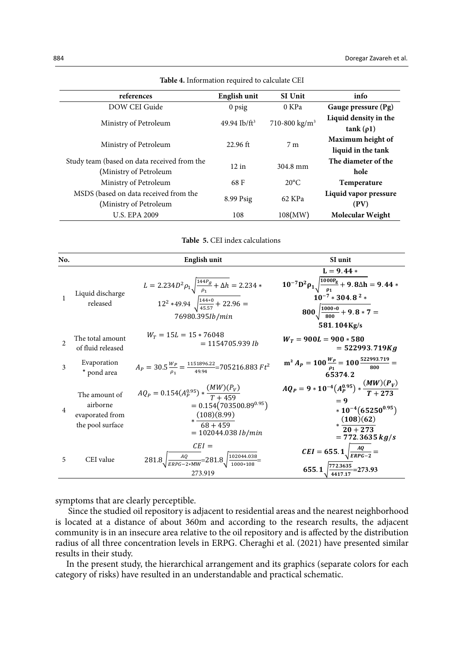| references                                                            | English unit    | <b>SI Unit</b>            | info                                    |
|-----------------------------------------------------------------------|-----------------|---------------------------|-----------------------------------------|
| DOW CEI Guide                                                         | $0$ psig        | 0 KPa                     | Gauge pressure (Pg)                     |
| Ministry of Petroleum                                                 | 49.94 $Ib/ft^3$ | 710-800 kg/m <sup>3</sup> | Liquid density in the<br>$tank(\rho1)$  |
| Ministry of Petroleum                                                 | $22.96$ ft      | 7 <sub>m</sub>            | Maximum height of<br>liquid in the tank |
| Study team (based on data received from the<br>(Ministry of Petroleum | 12 in           | 304.8 mm                  | The diameter of the<br>hole             |
| Ministry of Petroleum                                                 | 68 F            | $20^{\circ}$ C            | <b>Temperature</b>                      |
| MSDS (based on data received from the<br>(Ministry of Petroleum       | 8.99 Psig       | 62 KPa                    | Liquid vapor pressure<br>(PV)           |
| <b>U.S. EPA 2009</b>                                                  | 108             | 108(MW)                   | Molecular Weight                        |

Table 4. Information required to calculate CEI

Table 5. CEI index calculations

| No.            |                                                                  | <b>English unit</b>                                                                                                                                | SI unit                                                                                                                                                     |
|----------------|------------------------------------------------------------------|----------------------------------------------------------------------------------------------------------------------------------------------------|-------------------------------------------------------------------------------------------------------------------------------------------------------------|
|                | Liquid discharge<br>released                                     | $L = 2.234D^2 \rho_1 \sqrt{\frac{144P_g}{\rho_1} + \Delta h} = 2.234$ *<br>$12^2 *49.94 \sqrt{\frac{144 * 0}{45.57} + 22.96}$ =<br>76980.395Ib/min | $L = 9.44*$<br>$10^{-7}D^2\rho_1\sqrt{\frac{1000P_g}{\rho_1}} + 9.8\Delta h = 9.44*$<br>$10^{-7} * 304.8^2 *$<br>$800\sqrt{\frac{1000*0}{800}} + 9.8 * 7 =$ |
| $\mathfrak{D}$ | The total amount<br>of fluid released                            | $W_T = 15L = 15 * 76048$<br>$= 1154705.939$ <i>Ib</i>                                                                                              | 581.104Kg/s<br>$W_T = 900L = 900 * 580$<br>$= 522993.719Kg$                                                                                                 |
| 3              | Evaporation<br>* pond area                                       | $A_P = 30.5 \frac{W_P}{\rho_1} = \frac{1151896.22}{49.94} = 705216.883 \text{ } F t^2$                                                             | $m^2 A_P = 100 \frac{W_P}{\rho_1} = 100 \frac{522993.719}{800} =$<br>65374.2                                                                                |
| $\overline{4}$ | The amount of<br>airborne<br>evaporated from<br>the pool surface | $AQ_{P} = 0.154(A_{P}^{0.95})*\frac{(MW)(P_{V})}{T+459}$<br>$= 0.154(703500.89^{0.95})$<br>$*\frac{(108)(8.99)}{68+459}$<br>$= 102044.038 lb/min$  | $AQ_P = 9 * 10^{-4} (A_P^{0.95}) * \frac{(MW)(P_V)}{T + 273}$<br>$*10^{-4}(65250^{0.95})$<br>$*\frac{(108)(62)}{20+273}$<br>$= 772.3635 kg/s$               |
| 5              | CEI value                                                        | $CEI =$<br>$281.8\sqrt{\frac{AQ}{ERPG-2*MW}}=281.8\sqrt{\frac{102044.038}{1000*108}}=$<br>273.919                                                  | $CEI = 655.1 \sqrt{\frac{AQ}{ERPG - 2}} =$<br>$\frac{772.3635}{273.93}$<br>655.1                                                                            |

symptoms that are clearly perceptible.

Since the studied oil repository is adjacent to residential areas and the nearest neighborhood is located at a distance of about 360m and according to the research results, the adjacent community is in an insecure area relative to the oil repository and is affected by the distribution radius of all three concentration levels in ERPG. Cheraghi et al. (2021) have presented similar results in their study.

In the present study, the hierarchical arrangement and its graphics (separate colors for each category of risks) have resulted in an understandable and practical schematic.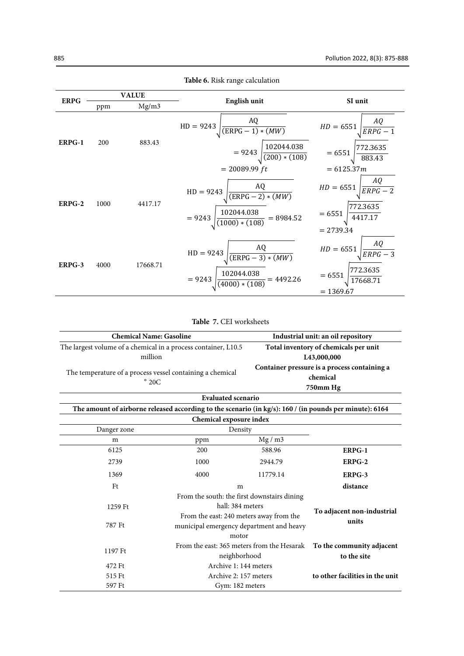|             | <b>VALUE</b><br>Mg/m3<br>ppm |          |                                                                                                              | SI unit                                                                            |  |
|-------------|------------------------------|----------|--------------------------------------------------------------------------------------------------------------|------------------------------------------------------------------------------------|--|
| <b>ERPG</b> |                              |          | English unit                                                                                                 |                                                                                    |  |
|             |                              |          | $HD = 9243 \sqrt{\frac{AQ}{(ERPG - 1) * (MW)}}$                                                              | $HD = 6551 \sqrt{\frac{AQ}{ERPG - 1}}$                                             |  |
| ERPG-1      | 200                          | 883.43   | = 9243 $\sqrt{\frac{102044.038}{(200)*(108)}}$ = 6551 $\sqrt{\frac{772.3635}{883.43}}$                       |                                                                                    |  |
|             |                              |          | $= 20089.99 ft$                                                                                              | $= 6125.37m$                                                                       |  |
| ERPG-2      | 1000                         | 4417.17  | $HD = 9243 \sqrt{\frac{AQ}{(ERPG - 2) * (MW)}}$<br>$= 9243 \sqrt{\frac{102044.038}{(1000)*(108)}} = 8984.52$ | $HD = 6551 \sqrt{\frac{AQ}{ERPG - 2}}$<br>$= 6551 \sqrt{\frac{772.3635}{4417.17}}$ |  |
|             |                              |          |                                                                                                              | $= 2739.34$                                                                        |  |
| ERPG-3      | 4000                         | 17668.71 | $\frac{AQ}{(ERPG - 3) * (MW)}$<br>$HD = 9243$<br>$= 9243 \sqrt{\frac{102044.038}{(4000)*(108)}} = 4492.26$   | $HD = 6551 \sqrt{\frac{AQ}{ERPG - 3}}$<br>$\frac{772.3635}{17668.71}$<br>$= 6551$  |  |
|             |                              |          |                                                                                                              | $= 1369.67$                                                                        |  |

Table 6. Risk range calculation

Table 7. CEI worksheets

| <b>Chemical Name: Gasoline</b>                                             |                                                                                                         | Industrial unit: an oil repository                                                  |        |
|----------------------------------------------------------------------------|---------------------------------------------------------------------------------------------------------|-------------------------------------------------------------------------------------|--------|
| The largest volume of a chemical in a process container, L10.5             |                                                                                                         | Total inventory of chemicals per unit                                               |        |
| million                                                                    |                                                                                                         | L43,000,000                                                                         |        |
| The temperature of a process vessel containing a chemical<br>$\degree$ 20C |                                                                                                         | Container pressure is a process containing a<br>chemical<br>750mm Hg                |        |
|                                                                            | <b>Evaluated scenario</b>                                                                               |                                                                                     |        |
|                                                                            | The amount of airborne released according to the scenario (in kg/s): 160 / (in pounds per minute): 6164 |                                                                                     |        |
|                                                                            | Chemical exposure index                                                                                 |                                                                                     |        |
| Danger zone                                                                | Density                                                                                                 |                                                                                     |        |
| m                                                                          | ppm                                                                                                     | Mg/m3                                                                               |        |
| 6125                                                                       | 200                                                                                                     | 588.96                                                                              | ERPG-1 |
| 2739                                                                       | 1000                                                                                                    | 2944.79                                                                             | ERPG-2 |
| 1369                                                                       | 4000                                                                                                    | 11779.14                                                                            | ERPG-3 |
| Ft                                                                         | m                                                                                                       |                                                                                     |        |
| 1259 Ft                                                                    |                                                                                                         | From the south: the first downstairs dining<br>hall: 384 meters                     |        |
| 787 Ft                                                                     | motor                                                                                                   | From the east: 240 meters away from the<br>municipal emergency department and heavy |        |
| 1197 Ft                                                                    |                                                                                                         | From the east: 365 meters from the Hesarak<br>neighborhood                          |        |
| 472 Ft                                                                     |                                                                                                         | Archive 1: 144 meters                                                               |        |
| 515 Ft                                                                     |                                                                                                         | Archive 2: 157 meters                                                               |        |
| 597 Ft                                                                     | Gym: 182 meters                                                                                         |                                                                                     |        |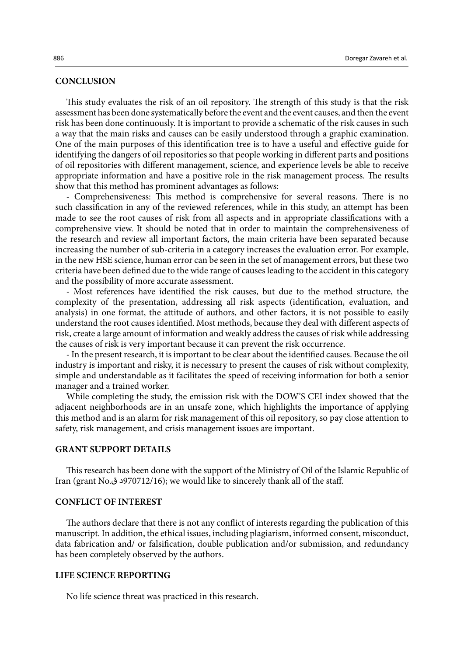## **CONCLUSION**

This study evaluates the risk of an oil repository. The strength of this study is that the risk assessment has been done systematically before the event and the event causes, and then the event risk has been done continuously. It is important to provide a schematic of the risk causes in such a way that the main risks and causes can be easily understood through a graphic examination. One of the main purposes of this identification tree is to have a useful and effective guide for identifying the dangers of oil repositories so that people working in different parts and positions of oil repositories with different management, science, and experience levels be able to receive appropriate information and have a positive role in the risk management process. The results show that this method has prominent advantages as follows:

- Comprehensiveness: This method is comprehensive for several reasons. There is no such classification in any of the reviewed references, while in this study, an attempt has been made to see the root causes of risk from all aspects and in appropriate classifications with a comprehensive view. It should be noted that in order to maintain the comprehensiveness of the research and review all important factors, the main criteria have been separated because increasing the number of sub-criteria in a category increases the evaluation error. For example, in the new HSE science, human error can be seen in the set of management errors, but these two criteria have been defined due to the wide range of causes leading to the accident in this category and the possibility of more accurate assessment.

- Most references have identified the risk causes, but due to the method structure, the complexity of the presentation, addressing all risk aspects (identification, evaluation, and analysis) in one format, the attitude of authors, and other factors, it is not possible to easily understand the root causes identified. Most methods, because they deal with different aspects of risk, create a large amount of information and weakly address the causes of risk while addressing the causes of risk is very important because it can prevent the risk occurrence.

- In the present research, it is important to be clear about the identified causes. Because the oil industry is important and risky, it is necessary to present the causes of risk without complexity, simple and understandable as it facilitates the speed of receiving information for both a senior manager and a trained worker.

While completing the study, the emission risk with the DOW'S CEI index showed that the adjacent neighborhoods are in an unsafe zone, which highlights the importance of applying this method and is an alarm for risk management of this oil repository, so pay close attention to safety, risk management, and crisis management issues are important.

## **GRANT SUPPORT DETAILS**

This research has been done with the support of the Ministry of Oil of the Islamic Republic of Iran (grant No.ق د 970712/16); we would like to sincerely thank all of the staff.

## **CONFLICT OF INTEREST**

The authors declare that there is not any conflict of interests regarding the publication of this manuscript. In addition, the ethical issues, including plagiarism, informed consent, misconduct, data fabrication and/ or falsification, double publication and/or submission, and redundancy has been completely observed by the authors.

## **LIFE SCIENCE REPORTING**

No life science threat was practiced in this research.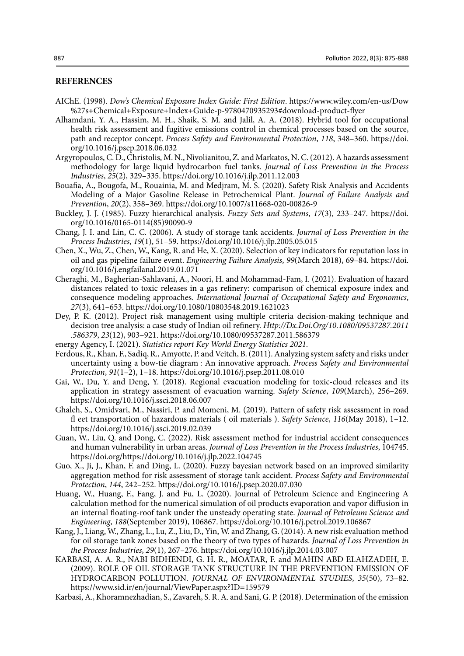## **REFERENCES**

- AIChE. (1998). *Dow's Chemical Exposure Index Guide: First Edition*. https://www.wiley.com/en-us/Dow %27s+Chemical+Exposure+Index+Guide-p-9780470935293#download-product-flyer
- Alhamdani, Y. A., Hassim, M. H., Shaik, S. M. and Jalil, A. A. (2018). Hybrid tool for occupational health risk assessment and fugitive emissions control in chemical processes based on the source, path and receptor concept. *Process Safety and Environmental Protection*, *118*, 348–360. https://doi. org/10.1016/j.psep.2018.06.032
- Argyropoulos, C. D., Christolis, M. N., Nivolianitou, Z. and Markatos, N. C. (2012). A hazards assessment methodology for large liquid hydrocarbon fuel tanks. *Journal of Loss Prevention in the Process Industries*, *25*(2), 329–335. https://doi.org/10.1016/j.jlp.2011.12.003
- Bouafia, A., Bougofa, M., Rouainia, M. and Medjram, M. S. (2020). Safety Risk Analysis and Accidents Modeling of a Major Gasoline Release in Petrochemical Plant. *Journal of Failure Analysis and Prevention*, *20*(2), 358–369. https://doi.org/10.1007/s11668-020-00826-9
- Buckley, J. J. (1985). Fuzzy hierarchical analysis. *Fuzzy Sets and Systems*, *17*(3), 233–247. https://doi. org/10.1016/0165-0114(85)90090-9
- Chang, J. I. and Lin, C. C. (2006). A study of storage tank accidents. *Journal of Loss Prevention in the Process Industries*, *19*(1), 51–59. https://doi.org/10.1016/j.jlp.2005.05.015
- Chen, X., Wu, Z., Chen, W., Kang, R. and He, X. (2020). Selection of key indicators for reputation loss in oil and gas pipeline failure event. *Engineering Failure Analysis*, *99*(March 2018), 69–84. https://doi. org/10.1016/j.engfailanal.2019.01.071
- Cheraghi, M., Bagherian-Sahlavani, A., Noori, H. and Mohammad-Fam, I. (2021). Evaluation of hazard distances related to toxic releases in a gas refinery: comparison of chemical exposure index and consequence modeling approaches. *International Journal of Occupational Safety and Ergonomics*, *27*(3), 641–653. https://doi.org/10.1080/10803548.2019.1621023
- Dey, P. K. (2012). Project risk management using multiple criteria decision-making technique and decision tree analysis: a case study of Indian oil refinery. *Http://Dx.Doi.Org/10.1080/09537287.2011 .586379*, *23*(12), 903–921. https://doi.org/10.1080/09537287.2011.586379
- energy Agency, I. (2021). *Statistics report Key World Energy Statistics 2021*.
- Ferdous, R., Khan, F., Sadiq, R., Amyotte, P. and Veitch, B. (2011). Analyzing system safety and risks under uncertainty using a bow-tie diagram : An innovative approach. *Process Safety and Environmental Protection*, *91*(1–2), 1–18. https://doi.org/10.1016/j.psep.2011.08.010
- Gai, W., Du, Y. and Deng, Y. (2018). Regional evacuation modeling for toxic-cloud releases and its application in strategy assessment of evacuation warning. *Safety Science*, *109*(March), 256–269. https://doi.org/10.1016/j.ssci.2018.06.007
- Ghaleh, S., Omidvari, M., Nassiri, P. and Momeni, M. (2019). Pattern of safety risk assessment in road fl eet transportation of hazardous materials ( oil materials ). *Safety Science*, *116*(May 2018), 1–12. https://doi.org/10.1016/j.ssci.2019.02.039
- Guan, W., Liu, Q. and Dong, C. (2022). Risk assessment method for industrial accident consequences and human vulnerability in urban areas. *Journal of Loss Prevention in the Process Industries*, 104745. https://doi.org/https://doi.org/10.1016/j.jlp.2022.104745
- Guo, X., Ji, J., Khan, F. and Ding, L. (2020). Fuzzy bayesian network based on an improved similarity aggregation method for risk assessment of storage tank accident. *Process Safety and Environmental Protection*, *144*, 242–252. https://doi.org/10.1016/j.psep.2020.07.030
- Huang, W., Huang, F., Fang, J. and Fu, L. (2020). Journal of Petroleum Science and Engineering A calculation method for the numerical simulation of oil products evaporation and vapor diffusion in an internal floating-roof tank under the unsteady operating state. *Journal of Petroleum Science and Engineering*, *188*(September 2019), 106867. https://doi.org/10.1016/j.petrol.2019.106867
- Kang, J., Liang, W., Zhang, L., Lu, Z., Liu, D., Yin, W. and Zhang, G. (2014). A new risk evaluation method for oil storage tank zones based on the theory of two types of hazards. *Journal of Loss Prevention in the Process Industries*, *29*(1), 267–276. https://doi.org/10.1016/j.jlp.2014.03.007
- KARBASI, A. A. R., NABI BIDHENDI, G. H. R., MOATAR, F. and MAHIN ABD ELAHZADEH, E. (2009). ROLE OF OIL STORAGE TANK STRUCTURE IN THE PREVENTION EMISSION OF HYDROCARBON POLLUTION. *JOURNAL OF ENVIRONMENTAL STUDIES*, *35*(50), 73–82. https://www.sid.ir/en/journal/ViewPaper.aspx?ID=159579
- Karbasi, A., Khoramnezhadian, S., Zavareh, S. R. A. and Sani, G. P. (2018). Determination of the emission